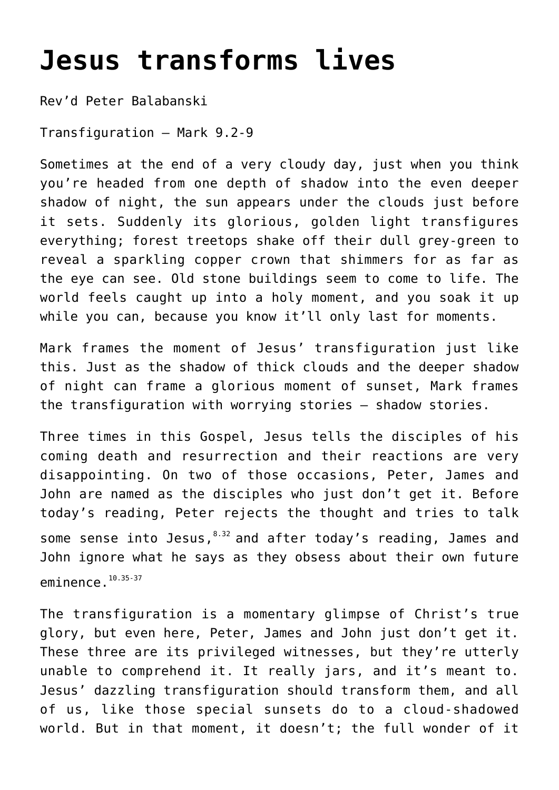## **[Jesus transforms lives](http://stjohnsadelaide.org.au/jesus-transforms-lives/)**

Rev'd Peter Balabanski

Transfiguration – Mark 9.2-9

Sometimes at the end of a very cloudy day, just when you think you're headed from one depth of shadow into the even deeper shadow of night, the sun appears under the clouds just before it sets. Suddenly its glorious, golden light transfigures everything; forest treetops shake off their dull grey-green to reveal a sparkling copper crown that shimmers for as far as the eye can see. Old stone buildings seem to come to life. The world feels caught up into a holy moment, and you soak it up while you can, because you know it'll only last for moments.

Mark frames the moment of Jesus' transfiguration just like this. Just as the shadow of thick clouds and the deeper shadow of night can frame a glorious moment of sunset, Mark frames the transfiguration with worrying stories – shadow stories.

Three times in this Gospel, Jesus tells the disciples of his coming death and resurrection and their reactions are very disappointing. On two of those occasions, Peter, James and John are named as the disciples who just don't get it. Before today's reading, Peter rejects the thought and tries to talk some sense into Jesus,  $8.32$  and after today's reading, James and John ignore what he says as they obsess about their own future eminence.<sup>10.35-37</sup>

The transfiguration is a momentary glimpse of Christ's true glory, but even here, Peter, James and John just don't get it. These three are its privileged witnesses, but they're utterly unable to comprehend it. It really jars, and it's meant to. Jesus' dazzling transfiguration should transform them, and all of us, like those special sunsets do to a cloud-shadowed world. But in that moment, it doesn't; the full wonder of it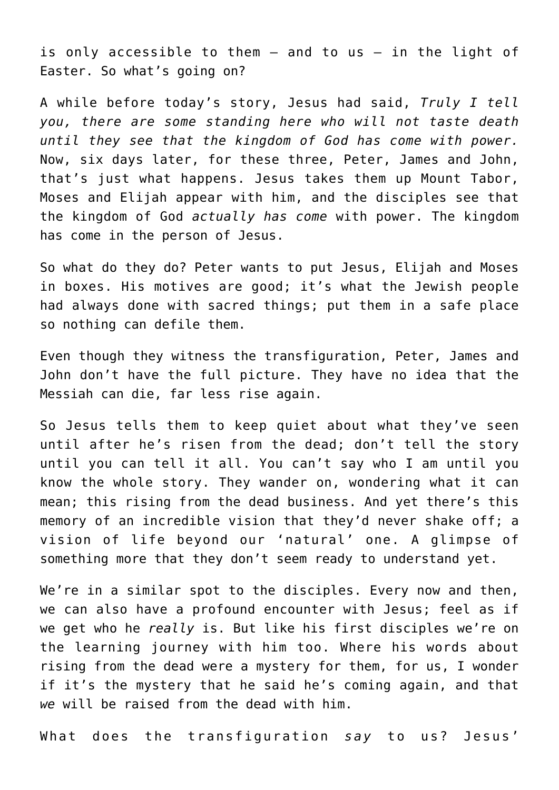is only accessible to them – and to us – in the light of Easter. So what's going on?

A while before today's story, Jesus had said, *Truly I tell you, there are some standing here who will not taste death until they see that the kingdom of God has come with power.* Now, six days later, for these three, Peter, James and John, that's just what happens. Jesus takes them up Mount Tabor, Moses and Elijah appear with him, and the disciples see that the kingdom of God *actually has come* with power. The kingdom has come in the person of Jesus.

So what do they do? Peter wants to put Jesus, Elijah and Moses in boxes. His motives are good; it's what the Jewish people had always done with sacred things; put them in a safe place so nothing can defile them.

Even though they witness the transfiguration, Peter, James and John don't have the full picture. They have no idea that the Messiah can die, far less rise again.

So Jesus tells them to keep quiet about what they've seen until after he's risen from the dead; don't tell the story until you can tell it all. You can't say who I am until you know the whole story. They wander on, wondering what it can mean; this rising from the dead business. And yet there's this memory of an incredible vision that they'd never shake off; a vision of life beyond our 'natural' one. A glimpse of something more that they don't seem ready to understand yet.

We're in a similar spot to the disciples. Every now and then, we can also have a profound encounter with Jesus; feel as if we get who he *really* is. But like his first disciples we're on the learning journey with him too. Where his words about rising from the dead were a mystery for them, for us, I wonder if it's the mystery that he said he's coming again, and that *we* will be raised from the dead with him.

What does the transfiguration *say* to us? Jesus'